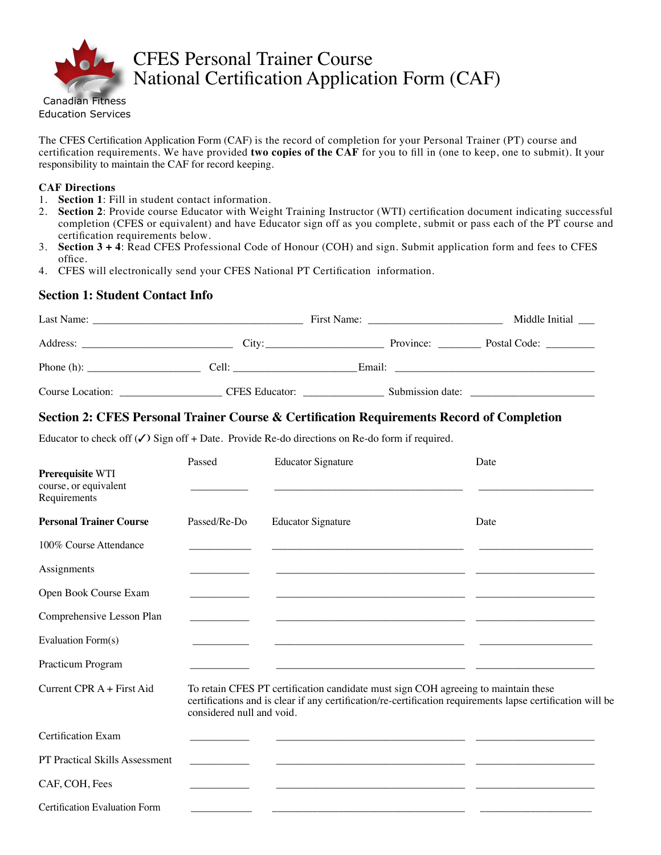

# CFES Personal Trainer Course National Certification Application Form (CAF)

The CFES Certification Application Form (CAF) is the record of completion for your Personal Trainer (PT) course and certification requirements. We have provided **two copies of the CAF** for you to fill in (one to keep, one to submit). It your responsibility to maintain the CAF for record keeping.

#### **CAF Directions**

- 1. **Section 1**: Fill in student contact information.
- 2. **Section 2**: Provide course Educator with Weight Training Instructor (WTI) certification document indicating successful completion (CFES or equivalent) and have Educator sign off as you complete, submit or pass each of the PT course and certification requirements below.
- 3. **Section 3 + 4**: Read CFES Professional Code of Honour (COH) and sign. Submit application form and fees to CFES office.
- 4. CFES will electronically send your CFES National PT Certification information.

# **Section 1: Student Contact Info**

| Last Name:                                                    |                                                                                                                                                                                                                                |                  | Middle Initial |
|---------------------------------------------------------------|--------------------------------------------------------------------------------------------------------------------------------------------------------------------------------------------------------------------------------|------------------|----------------|
|                                                               | City:                                                                                                                                                                                                                          | Province:        | Postal Code:   |
| Phone (h): $\frac{1}{\sqrt{1-\frac{1}{2}} \cdot \frac{1}{2}}$ | Cell: the contract of the contract of the contract of the contract of the contract of the contract of the contract of the contract of the contract of the contract of the contract of the contract of the contract of the cont | Email:           |                |
| Course Location:                                              | <b>CFES</b> Educator:                                                                                                                                                                                                          | Submission date: |                |

# **Section 2: CFES Personal Trainer Course & Certification Requirements Record of Completion**

Educator to check off  $(\checkmark)$  Sign off + Date. Provide Re-do directions on Re-do form if required.

| Prerequisite WTI<br>course, or equivalent<br>Requirements | Passed                    | <b>Educator Signature</b>                                                                                                                                                                        | Date |
|-----------------------------------------------------------|---------------------------|--------------------------------------------------------------------------------------------------------------------------------------------------------------------------------------------------|------|
| <b>Personal Trainer Course</b>                            | Passed/Re-Do              | <b>Educator Signature</b>                                                                                                                                                                        | Date |
| 100% Course Attendance                                    |                           | <u> 1989 - Johann Harry Barn, mars and deutscher Amerikaanse kommunister († 1908)</u>                                                                                                            |      |
| Assignments                                               |                           |                                                                                                                                                                                                  |      |
| Open Book Course Exam                                     |                           |                                                                                                                                                                                                  |      |
| Comprehensive Lesson Plan                                 |                           |                                                                                                                                                                                                  |      |
| Evaluation Form(s)                                        |                           |                                                                                                                                                                                                  |      |
| Practicum Program                                         |                           |                                                                                                                                                                                                  |      |
| Current CPR $A$ + First Aid                               | considered null and void. | To retain CFES PT certification candidate must sign COH agreeing to maintain these<br>certifications and is clear if any certification/re-certification requirements lapse certification will be |      |
| <b>Certification Exam</b>                                 |                           |                                                                                                                                                                                                  |      |
| <b>PT Practical Skills Assessment</b>                     |                           | <u> 1980 - Jan Barbara, martin da shekarar 1980 - Andrew Standard Barbara, mashrida</u>                                                                                                          |      |
| CAF, COH, Fees                                            |                           |                                                                                                                                                                                                  |      |
| Certification Evaluation Form                             |                           |                                                                                                                                                                                                  |      |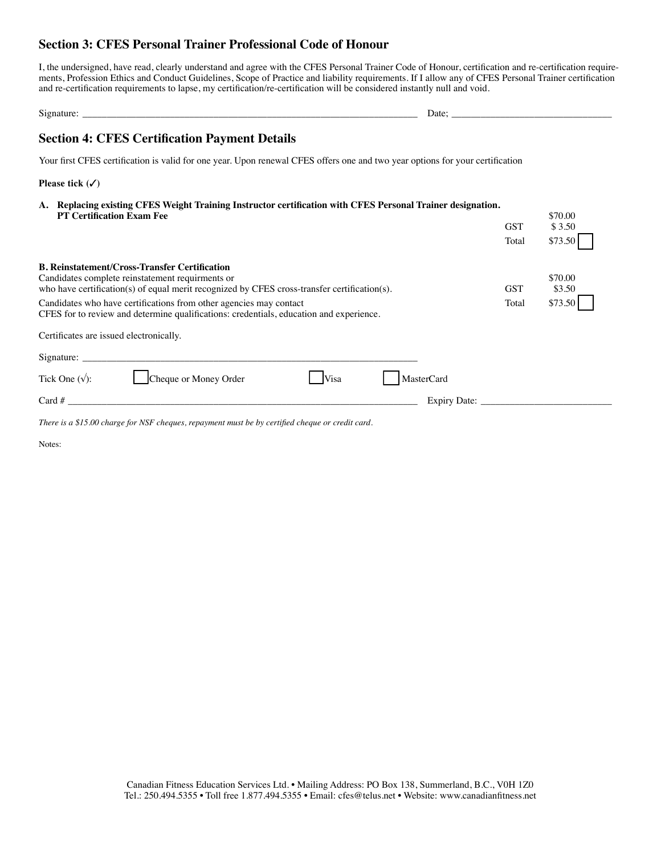# **Section 3: CFES Personal Trainer Professional Code of Honour**

I, the undersigned, have read, clearly understand and agree with the CFES Personal Trainer Code of Honour, certification and re-certification requirements, Profession Ethics and Conduct Guidelines, Scope of Practice and liability requirements. If I allow any of CFES Personal Trainer certification and re-certification requirements to lapse, my certification/re-certification will be considered instantly null and void.

| o٠<br>твани.<br>910. | Date <sup>-</sup> |
|----------------------|-------------------|
|                      |                   |

# **Section 4: CFES Certification Payment Details**

Your first CFES certification is valid for one year. Upon renewal CFES offers one and two year options for your certification

**Please tick (**3**)**

**A. Replacing existing CFES Weight Training Instructor certification with CFES Personal Trainer designation. PT Certification Exam Fee** \$70.00<br> **CST** \$3.50  $$3.50$ 

|                                                                                                                                                                                                          | Total      | \$73.50           |
|----------------------------------------------------------------------------------------------------------------------------------------------------------------------------------------------------------|------------|-------------------|
| <b>B. Reinstatement/Cross-Transfer Certification</b><br>Candidates complete reinstatement requirments or<br>who have certification(s) of equal merit recognized by CFES cross-transfer certification(s). | <b>GST</b> | \$70.00<br>\$3.50 |
| Candidates who have certifications from other agencies may contact<br>CFES for to review and determine qualifications: credentials, education and experience.                                            | Total      | \$73.50           |
| Certificates are issued electronically.                                                                                                                                                                  |            |                   |
| Signature:                                                                                                                                                                                               |            |                   |
| Cheque or Money Order<br>Tick One $(\sqrt{\ }$ :<br><b>Visa</b><br><b>MasterCard</b>                                                                                                                     |            |                   |
| Card $#$<br>Expiry Date:                                                                                                                                                                                 |            |                   |

*There is a \$15.00 charge for NSF cheques, repayment must be by certified cheque or credit card.*

Notes: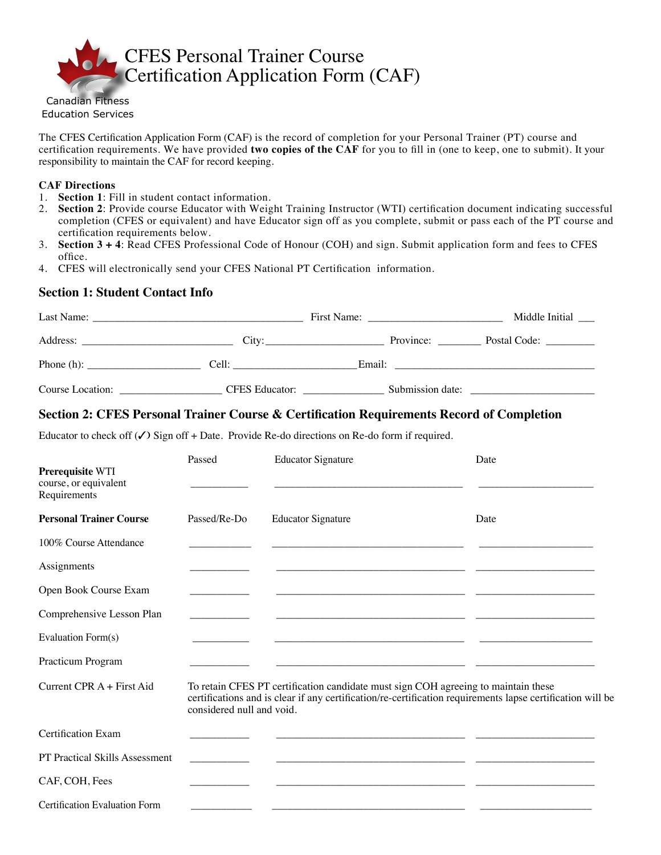

Canadian Fitness Education Services

The CFES Certification Application Form (CAF) is the record of completion for your Personal Trainer (PT) course and certification requirements. We have provided **two copies of the CAF** for you to fill in (one to keep, one to submit). It your responsibility to maintain the CAF for record keeping.

#### **CAF Directions**

- 1. **Section 1**: Fill in student contact information.
- 2. **Section 2**: Provide course Educator with Weight Training Instructor (WTI) certification document indicating successful completion (CFES or equivalent) and have Educator sign off as you complete, submit or pass each of the PT course and certification requirements below.
- 3. **Section 3 + 4**: Read CFES Professional Code of Honour (COH) and sign. Submit application form and fees to CFES office.
- 4. CFES will electronically send your CFES National PT Certification information.

# **Section 1: Student Contact Info**

| Last Name:<br><u> 1980 - Jan Barbara, martin da shekara tsa na shekara tsa 1980 a 1981 a tsa 1981 a tsa 1981 a tsa 1981 a tsa 1</u> |                       |        |                  | Middle Initial                |  |
|-------------------------------------------------------------------------------------------------------------------------------------|-----------------------|--------|------------------|-------------------------------|--|
| Address:                                                                                                                            |                       |        | Province:        | Postal Code: <u>_________</u> |  |
| Phone $(h)$ :                                                                                                                       | Cell:                 | Email: |                  |                               |  |
| Course Location:                                                                                                                    | <b>CFES</b> Educator: |        | Submission date: |                               |  |

# **Section 2: CFES Personal Trainer Course & Certification Requirements Record of Completion**

Educator to check off  $(\checkmark)$  Sign off + Date. Provide Re-do directions on Re-do form if required.

| Prerequisite WTI<br>course, or equivalent<br>Requirements | Passed                    | <b>Educator Signature</b>                                                                                                                                                                        | Date |
|-----------------------------------------------------------|---------------------------|--------------------------------------------------------------------------------------------------------------------------------------------------------------------------------------------------|------|
| <b>Personal Trainer Course</b>                            | Passed/Re-Do              | <b>Educator Signature</b>                                                                                                                                                                        | Date |
| 100% Course Attendance                                    |                           |                                                                                                                                                                                                  |      |
| Assignments                                               |                           |                                                                                                                                                                                                  |      |
| Open Book Course Exam                                     |                           |                                                                                                                                                                                                  |      |
| Comprehensive Lesson Plan                                 |                           |                                                                                                                                                                                                  |      |
| Evaluation Form(s)                                        |                           | <u> 1989 - Johann Harry Barn, mars and deutscher Amerikaanse kommens van de Frankryk van de Frankryk van de Frankryk v</u>                                                                       |      |
| Practicum Program                                         |                           |                                                                                                                                                                                                  |      |
| Current CPR $A$ + First Aid                               | considered null and void. | To retain CFES PT certification candidate must sign COH agreeing to maintain these<br>certifications and is clear if any certification/re-certification requirements lapse certification will be |      |
| Certification Exam                                        |                           |                                                                                                                                                                                                  |      |
| PT Practical Skills Assessment                            |                           | <u> 1989 - John Stein, Amerikaansk politiker (</u> † 1920)                                                                                                                                       |      |
| CAF, COH, Fees                                            |                           |                                                                                                                                                                                                  |      |
| Certification Evaluation Form                             |                           |                                                                                                                                                                                                  |      |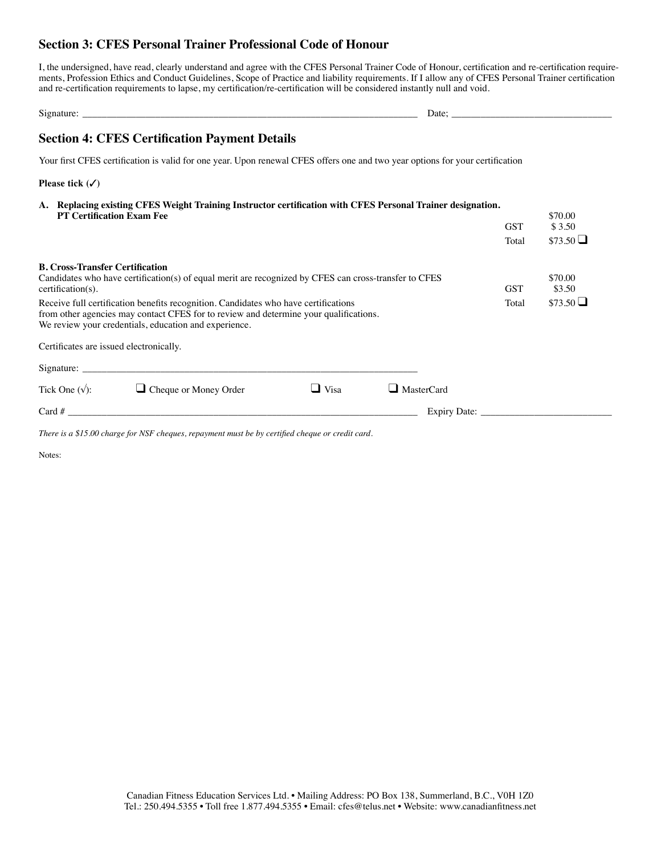# **Section 3: CFES Personal Trainer Professional Code of Honour**

I, the undersigned, have read, clearly understand and agree with the CFES Personal Trainer Code of Honour, certification and re-certification requirements, Profession Ethics and Conduct Guidelines, Scope of Practice and liability requirements. If I allow any of CFES Personal Trainer certification and re-certification requirements to lapse, my certification/re-certification will be considered instantly null and void.

| $\sim$<br>Signature: | Date: |
|----------------------|-------|
|                      |       |

# **Section 4: CFES Certification Payment Details**

Your first CFES certification is valid for one year. Upon renewal CFES offers one and two year options for your certification

**Please tick (**3**)**

**A. Replacing existing CFES Weight Training Instructor certification with CFES Personal Trainer designation. PT Certification Exam Fee** \$70.00  $$3.50$ Total  $$73.50$   $\Box$ **B. Cross-Transfer Certification** Candidates who have certification(s) of equal merit are recognized by CFES can cross-transfer to CFES \$70.00<br>
GST \$3.50 certification(s). GST \$3.50 Receive full certification benefits recognition. Candidates who have certifications Total  $$73.50$   $\Box$ from other agencies may contact CFES for to review and determine your qualifications. We review your credentials, education and experience. Certificates are issued electronically. Signature: Tick One  $(\sqrt{y})^2$  Cheque or Money Order  $\Box$  Visa  $\Box$  MasterCard

| $T_{\rm I}$ $\sim$ $T_{\rm I}$ $\sim$ $T_{\rm I}$ $\sim$ $T_{\rm I}$ | $\blacksquare$ Cheque of Money Order | - 13a | — Maswicaru         |  |
|----------------------------------------------------------------------|--------------------------------------|-------|---------------------|--|
| Card #                                                               |                                      |       | <b>Expiry Date:</b> |  |
|                                                                      |                                      |       |                     |  |

*There is a \$15.00 charge for NSF cheques, repayment must be by certified cheque or credit card.*

Notes: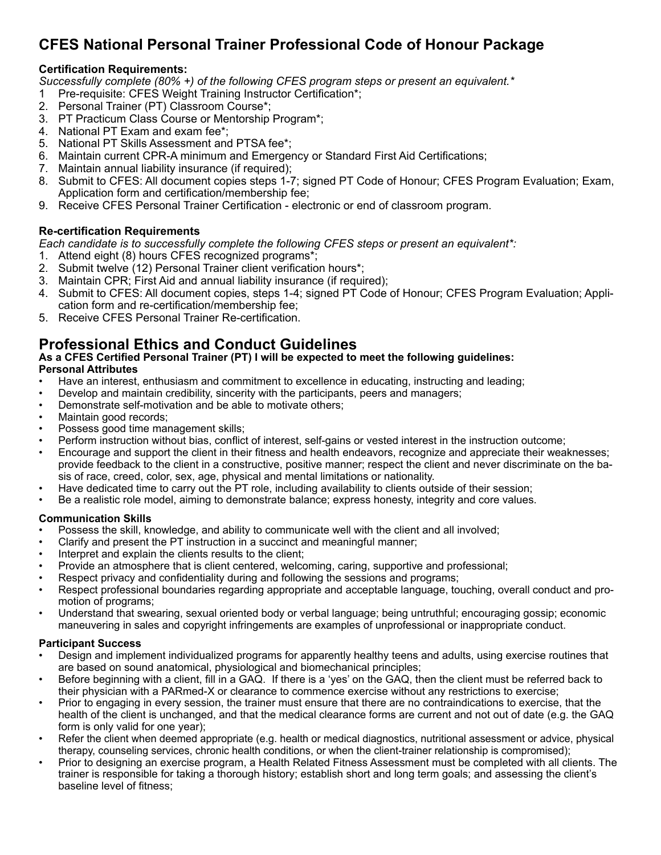# **CFES National Personal Trainer Professional Code of Honour Package**

# **Certification Requirements:**

*Successfully complete (80% +) of the following CFES program steps or present an equivalent.\**

- 1 Pre-requisite: CFES Weight Training Instructor Certification\*;
- 2. Personal Trainer (PT) Classroom Course\*;
- 3. PT Practicum Class Course or Mentorship Program\*;
- 4. National PT Exam and exam fee\*;
- 5. National PT Skills Assessment and PTSA fee\*;
- 6. Maintain current CPR-A minimum and Emergency or Standard First Aid Certifications;
- 7. Maintain annual liability insurance (if required);
- 8. Submit to CFES: All document copies steps 1-7; signed PT Code of Honour; CFES Program Evaluation; Exam, Application form and certification/membership fee;
- 9. Receive CFES Personal Trainer Certification electronic or end of classroom program.

# **Re-certification Requirements**

*Each candidate is to successfully complete the following CFES steps or present an equivalent\*:*

- 1. Attend eight (8) hours CFES recognized programs\*;
- 2. Submit twelve (12) Personal Trainer client verification hours\*;
- 3. Maintain CPR; First Aid and annual liability insurance (if required);
- 4. Submit to CFES: All document copies, steps 1-4; signed PT Code of Honour; CFES Program Evaluation; Application form and re-certification/membership fee;
- 5. Receive CFES Personal Trainer Re-certification.

# **Professional Ethics and Conduct Guidelines**

**As a CFES Certified Personal Trainer (PT) I will be expected to meet the following guidelines: Personal Attributes**

- Have an interest, enthusiasm and commitment to excellence in educating, instructing and leading;
- Develop and maintain credibility, sincerity with the participants, peers and managers;
- Demonstrate self-motivation and be able to motivate others;
- Maintain good records;
- Possess good time management skills;
- Perform instruction without bias, conflict of interest, self-gains or vested interest in the instruction outcome;
- Encourage and support the client in their fitness and health endeavors, recognize and appreciate their weaknesses; provide feedback to the client in a constructive, positive manner; respect the client and never discriminate on the basis of race, creed, color, sex, age, physical and mental limitations or nationality.
- Have dedicated time to carry out the PT role, including availability to clients outside of their session;
- Be a realistic role model, aiming to demonstrate balance; express honesty, integrity and core values.

# **Communication Skills**

- Possess the skill, knowledge, and ability to communicate well with the client and all involved;
- Clarify and present the PT instruction in a succinct and meaningful manner;
- Interpret and explain the clients results to the client;
- Provide an atmosphere that is client centered, welcoming, caring, supportive and professional;
- Respect privacy and confidentiality during and following the sessions and programs;
- Respect professional boundaries regarding appropriate and acceptable language, touching, overall conduct and promotion of programs;
- Understand that swearing, sexual oriented body or verbal language; being untruthful; encouraging gossip; economic maneuvering in sales and copyright infringements are examples of unprofessional or inappropriate conduct.

# **Participant Success**

- Design and implement individualized programs for apparently healthy teens and adults, using exercise routines that are based on sound anatomical, physiological and biomechanical principles;
- Before beginning with a client, fill in a GAQ. If there is a 'yes' on the GAQ, then the client must be referred back to their physician with a PARmed-X or clearance to commence exercise without any restrictions to exercise;
- Prior to engaging in every session, the trainer must ensure that there are no contraindications to exercise, that the health of the client is unchanged, and that the medical clearance forms are current and not out of date (e.g. the GAQ form is only valid for one year);
- Refer the client when deemed appropriate (e.g. health or medical diagnostics, nutritional assessment or advice, physical therapy, counseling services, chronic health conditions, or when the client-trainer relationship is compromised);
- Prior to designing an exercise program, a Health Related Fitness Assessment must be completed with all clients. The trainer is responsible for taking a thorough history; establish short and long term goals; and assessing the client's baseline level of fitness;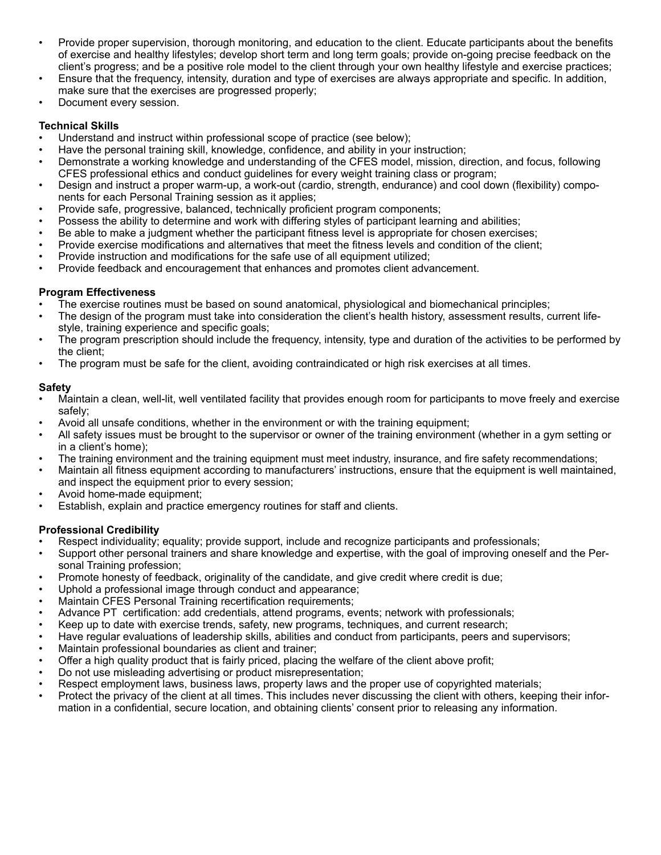- Provide proper supervision, thorough monitoring, and education to the client. Educate participants about the benefits of exercise and healthy lifestyles; develop short term and long term goals; provide on-going precise feedback on the client's progress; and be a positive role model to the client through your own healthy lifestyle and exercise practices;
- Ensure that the frequency, intensity, duration and type of exercises are always appropriate and specific. In addition, make sure that the exercises are progressed properly;
- Document every session.

#### **Technical Skills**

- Understand and instruct within professional scope of practice (see below);
- Have the personal training skill, knowledge, confidence, and ability in your instruction;
- Demonstrate a working knowledge and understanding of the CFES model, mission, direction, and focus, following CFES professional ethics and conduct guidelines for every weight training class or program;
- Design and instruct a proper warm-up, a work-out (cardio, strength, endurance) and cool down (flexibility) components for each Personal Training session as it applies;
- Provide safe, progressive, balanced, technically proficient program components;
- Possess the ability to determine and work with differing styles of participant learning and abilities;
- Be able to make a judgment whether the participant fitness level is appropriate for chosen exercises;
- Provide exercise modifications and alternatives that meet the fitness levels and condition of the client;
- Provide instruction and modifications for the safe use of all equipment utilized;
- Provide feedback and encouragement that enhances and promotes client advancement.

# **Program Effectiveness**

- The exercise routines must be based on sound anatomical, physiological and biomechanical principles;
- The design of the program must take into consideration the client's health history, assessment results, current lifestyle, training experience and specific goals;
- The program prescription should include the frequency, intensity, type and duration of the activities to be performed by the client;
- The program must be safe for the client, avoiding contraindicated or high risk exercises at all times.

# **Safety**

- Maintain a clean, well-lit, well ventilated facility that provides enough room for participants to move freely and exercise safely;
- Avoid all unsafe conditions, whether in the environment or with the training equipment;
- All safety issues must be brought to the supervisor or owner of the training environment (whether in a gym setting or in a client's home);
- The training environment and the training equipment must meet industry, insurance, and fire safety recommendations;
- Maintain all fitness equipment according to manufacturers' instructions, ensure that the equipment is well maintained, and inspect the equipment prior to every session;
- Avoid home-made equipment;
- Establish, explain and practice emergency routines for staff and clients.

# **Professional Credibility**

- Respect individuality; equality; provide support, include and recognize participants and professionals;
- Support other personal trainers and share knowledge and expertise, with the goal of improving oneself and the Personal Training profession;
- Promote honesty of feedback, originality of the candidate, and give credit where credit is due;
- Uphold a professional image through conduct and appearance;
- Maintain CFES Personal Training recertification requirements;
- Advance PT certification: add credentials, attend programs, events; network with professionals;
- Keep up to date with exercise trends, safety, new programs, techniques, and current research;
- Have regular evaluations of leadership skills, abilities and conduct from participants, peers and supervisors;
- Maintain professional boundaries as client and trainer;
- Offer a high quality product that is fairly priced, placing the welfare of the client above profit;
- Do not use misleading advertising or product misrepresentation;
- Respect employment laws, business laws, property laws and the proper use of copyrighted materials;
- Protect the privacy of the client at all times. This includes never discussing the client with others, keeping their information in a confidential, secure location, and obtaining clients' consent prior to releasing any information.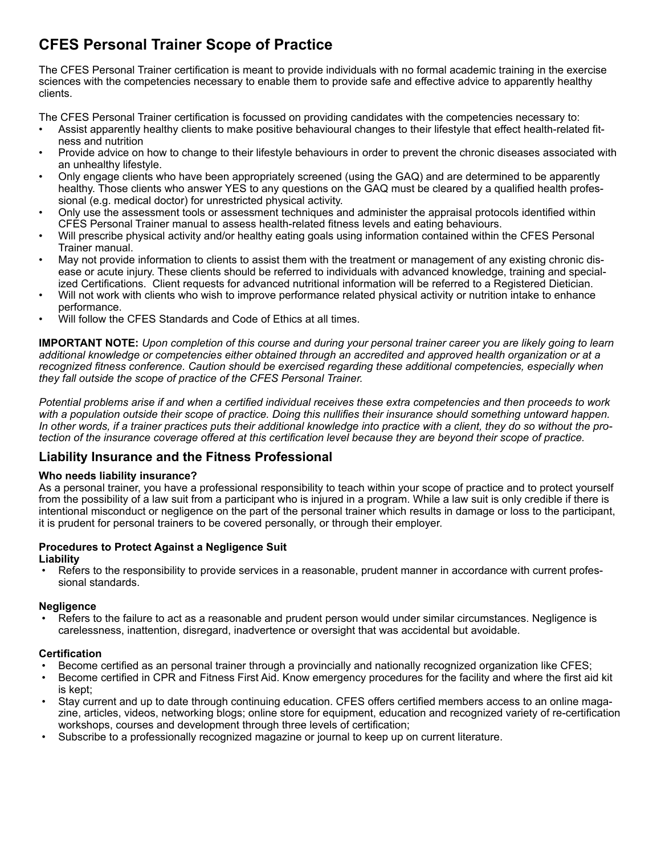# **CFES Personal Trainer Scope of Practice**

The CFES Personal Trainer certification is meant to provide individuals with no formal academic training in the exercise sciences with the competencies necessary to enable them to provide safe and effective advice to apparently healthy clients.

The CFES Personal Trainer certification is focussed on providing candidates with the competencies necessary to:

- Assist apparently healthy clients to make positive behavioural changes to their lifestyle that effect health-related fitness and nutrition
- Provide advice on how to change to their lifestyle behaviours in order to prevent the chronic diseases associated with an unhealthy lifestyle.
- Only engage clients who have been appropriately screened (using the GAQ) and are determined to be apparently healthy. Those clients who answer YES to any questions on the GAQ must be cleared by a qualified health professional (e.g. medical doctor) for unrestricted physical activity.
- Only use the assessment tools or assessment techniques and administer the appraisal protocols identified within CFES Personal Trainer manual to assess health-related fitness levels and eating behaviours.
- Will prescribe physical activity and/or healthy eating goals using information contained within the CFES Personal Trainer manual.
- May not provide information to clients to assist them with the treatment or management of any existing chronic disease or acute injury. These clients should be referred to individuals with advanced knowledge, training and specialized Certifications. Client requests for advanced nutritional information will be referred to a Registered Dietician.
- Will not work with clients who wish to improve performance related physical activity or nutrition intake to enhance performance.
- Will follow the CFES Standards and Code of Ethics at all times.

**IMPORTANT NOTE:** *Upon completion of this course and during your personal trainer career you are likely going to learn additional knowledge or competencies either obtained through an accredited and approved health organization or at a recognized fitness conference. Caution should be exercised regarding these additional competencies, especially when they fall outside the scope of practice of the CFES Personal Trainer.* 

*Potential problems arise if and when a certified individual receives these extra competencies and then proceeds to work*  with a population outside their scope of practice. Doing this nullifies their insurance should something untoward happen. *In other words, if a trainer practices puts their additional knowledge into practice with a client, they do so without the protection of the insurance coverage offered at this certification level because they are beyond their scope of practice.*

# **Liability Insurance and the Fitness Professional**

# **Who needs liability insurance?**

As a personal trainer, you have a professional responsibility to teach within your scope of practice and to protect yourself from the possibility of a law suit from a participant who is injured in a program. While a law suit is only credible if there is intentional misconduct or negligence on the part of the personal trainer which results in damage or loss to the participant, it is prudent for personal trainers to be covered personally, or through their employer.

#### **Procedures to Protect Against a Negligence Suit Liability**

• Refers to the responsibility to provide services in a reasonable, prudent manner in accordance with current professional standards.

# **Negligence**

 • Refers to the failure to act as a reasonable and prudent person would under similar circumstances. Negligence is carelessness, inattention, disregard, inadvertence or oversight that was accidental but avoidable.

# **Certification**

- Become certified as an personal trainer through a provincially and nationally recognized organization like CFES;
- Become certified in CPR and Fitness First Aid. Know emergency procedures for the facility and where the first aid kit is kept;
- Stay current and up to date through continuing education. CFES offers certified members access to an online magazine, articles, videos, networking blogs; online store for equipment, education and recognized variety of re-certification workshops, courses and development through three levels of certification;
- Subscribe to a professionally recognized magazine or journal to keep up on current literature.